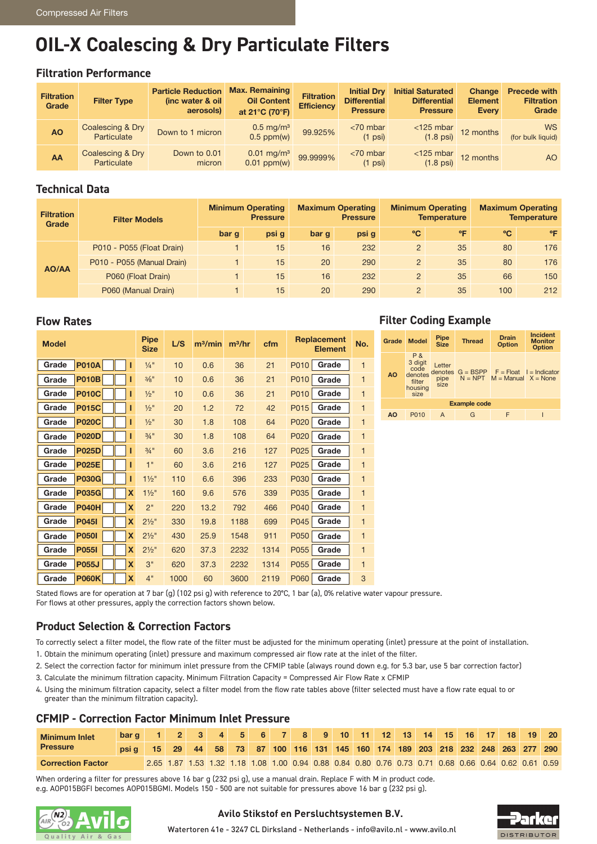# **OIL-X Coalescing & Dry Particulate Filters**

#### **Filtration Performance**

| <b>Filtration</b><br>Grade | <b>Filter Type</b>              | <b>Particle Reduction</b><br>(inc water & oil<br>aerosols) | <b>Max. Remaining</b><br><b>Oil Content</b><br>at 21°C (70°F) | <b>Filtration</b><br><b>Efficiency</b> |                                  | <b>Initial Saturated</b><br><b>Differential</b><br><b>Pressure</b> | Change<br><b>Element</b><br>Every                    | <b>Precede with</b><br><b>Filtration</b><br>Grade |
|----------------------------|---------------------------------|------------------------------------------------------------|---------------------------------------------------------------|----------------------------------------|----------------------------------|--------------------------------------------------------------------|------------------------------------------------------|---------------------------------------------------|
| <b>AO</b>                  | Coalescing & Dry<br>Particulate | Down to 1 micron                                           | $0.5 \text{ mg/m}^3$<br>0.5 ppm(w)                            | 99.925%                                | $<$ 70 mbar<br>$(1 \text{ psi})$ |                                                                    | $\frac{125 \text{ mbar}}{1.8 \text{ psi}}$ 12 months | <b>WS</b><br>(for bulk liquid)                    |
| AA                         | Coalescing & Dry<br>Particulate | Down to 0.01<br>micron                                     | $0.01 \text{ mg/m}^3$<br>0.01 ppm(w)                          | 99.9999%                               | $<$ 70 mbar<br>$(1 \text{ psi})$ | $\le$ 125 mbar 12 months<br>$(1.8 \text{ psi})$                    |                                                      | <b>AO</b>                                         |

#### **Technical Data**

| <b>Filtration</b><br>Grade | <b>Filter Models</b>       |       | <b>Minimum Operating</b><br><b>Pressure</b> |       | <b>Maximum Operating</b><br><b>Pressure</b> |                | <b>Minimum Operating</b><br><b>Temperature</b> | <b>Maximum Operating</b><br><b>Temperature</b> |              |  |
|----------------------------|----------------------------|-------|---------------------------------------------|-------|---------------------------------------------|----------------|------------------------------------------------|------------------------------------------------|--------------|--|
|                            |                            | bar g | psi g                                       | bar g | psi g                                       | °C             | °F                                             | °C                                             | $^{\circ}$ F |  |
| AO/AA                      | P010 - P055 (Float Drain)  |       | 15                                          | 16    | 232                                         | $\overline{2}$ | 35                                             | 80                                             | 176          |  |
|                            | P010 - P055 (Manual Drain) |       | 15                                          | 20    | 290                                         | $\overline{2}$ | 35                                             | 80                                             | 176          |  |
|                            | P060 (Float Drain)         |       | 15                                          | 16    | 232                                         | $\overline{2}$ | 35                                             | 66                                             | 150          |  |
|                            | P060 (Manual Drain)        |       | 15                                          | 20    | 290                                         | 2              | 35                                             | 100                                            | 212          |  |

#### **Flow Rates**

| <b>Model</b>               | <b>Pipe</b><br><b>Size</b> | L/S  | m <sup>3</sup> /min | $m^3/hr$ | cfm  | Replacement<br><b>Element</b> | No.          |
|----------------------------|----------------------------|------|---------------------|----------|------|-------------------------------|--------------|
| <b>P010A</b><br>Grade<br>Π | $\frac{1}{4}$ "            | 10   | 0.6                 | 36       | 21   | P010<br>Grade                 | $\mathbf{1}$ |
| <b>P010B</b><br>Grade<br>Π | 3/8"                       | 10   | 0.6                 | 36       | 21   | P010<br>Grade                 | $\mathbf{1}$ |
| Grade<br><b>P010C</b><br>Π | $\frac{1}{2}$ "            | 10   | 0.6                 | 36       | 21   | P010<br>Grade                 | $\mathbf{1}$ |
| <b>P015C</b><br>Grade<br>Π | $\frac{1}{2}$ "            | 20   | 1.2                 | 72       | 42   | P015<br>Grade                 | 1            |
| <b>P020C</b><br>Grade<br>Π | $\frac{1}{2}$ "            | 30   | 1.8                 | 108      | 64   | P020<br>Grade                 | 1            |
| <b>P020D</b><br>Π<br>Grade | $\frac{3}{4}$ "            | 30   | 1.8                 | 108      | 64   | P020<br>Grade                 | $\mathbf{1}$ |
| <b>P025D</b><br>Grade      | $3/4$ "                    | 60   | 3.6                 | 216      | 127  | P025<br>Grade                 | $\mathbf{1}$ |
| Grade<br><b>P025E</b><br>Π | 1"                         | 60   | 3.6                 | 216      | 127  | P025<br>Grade                 | 1            |
| Grade<br><b>P030G</b><br>Π | $1\frac{1}{2}$ "           | 110  | 6.6                 | 396      | 233  | P030<br>Grade                 | $\mathbf{1}$ |
| Grade<br><b>P035G</b><br>X | $1\frac{1}{2}$             | 160  | 9.6                 | 576      | 339  | P035<br>Grade                 | $\mathbf{1}$ |
| <b>P040H</b><br>X<br>Grade | 2"                         | 220  | 13.2                | 792      | 466  | P040<br>Grade                 | $\mathbf{1}$ |
| X<br>Grade<br><b>P0451</b> | $2\frac{1}{2}$ "           | 330  | 19.8                | 1188     | 699  | P045<br>Grade                 | $\mathbf{1}$ |
| <b>P0501</b><br>X<br>Grade | $2\frac{1}{2}$ "           | 430  | 25.9                | 1548     | 911  | P050<br>Grade                 | $\mathbf{1}$ |
| X<br>Grade<br><b>P0551</b> | $2\frac{1}{2}$ "           | 620  | 37.3                | 2232     | 1314 | P055<br>Grade                 | $\mathbf{1}$ |
| <b>P055J</b><br>X<br>Grade | 3"                         | 620  | 37.3                | 2232     | 1314 | P055<br>Grade                 | $\mathbf{1}$ |
| <b>P060K</b><br>X<br>Grade | 4"                         | 1000 | 60                  | 3600     | 2119 | P060<br>Grade                 | 3            |

### **Filter Coding Example**

| Grade               | <b>Model</b>                                                   | <b>Pipe</b><br><b>Size</b> | <b>Thread</b> | <b>Drain</b><br><b>Option</b>                                                   | <b>Incident</b><br><b>Monitor</b><br><b>Option</b> |  |  |  |  |  |  |
|---------------------|----------------------------------------------------------------|----------------------------|---------------|---------------------------------------------------------------------------------|----------------------------------------------------|--|--|--|--|--|--|
| <b>AO</b>           | P &<br>3 digit<br>code<br>denotes<br>filter<br>housing<br>size | Letter<br>pipe<br>size     |               | denotes $G = BSPP$ $F = Float$ $I = Indicator$<br>$N = NPT$ M = Manual X = None |                                                    |  |  |  |  |  |  |
| <b>Example code</b> |                                                                |                            |               |                                                                                 |                                                    |  |  |  |  |  |  |
| A <sub>O</sub>      | P010                                                           | A                          | G             |                                                                                 |                                                    |  |  |  |  |  |  |

Stated flows are for operation at 7 bar (g) (102 psi g) with reference to 20°C, 1 bar (a), 0% relative water vapour pressure. For flows at other pressures, apply the correction factors shown below.

## **Product Selection & Correction Factors**

To correctly select a filter model, the flow rate of the filter must be adjusted for the minimum operating (inlet) pressure at the point of installation.

- 1. Obtain the minimum operating (inlet) pressure and maximum compressed air flow rate at the inlet of the filter.
- 2. Select the correction factor for minimum inlet pressure from the CFMIP table (always round down e.g. for 5.3 bar, use 5 bar correction factor)
- 3. Calculate the minimum filtration capacity. Minimum Filtration Capacity = Compressed Air Flow Rate x CFMIP
- 4. Using the minimum filtration capacity, select a filter model from the flow rate tables above (filter selected must have a flow rate equal to or greater than the minimum filtration capacity).

#### **CFMIP - Correction Factor Minimum Inlet Pressure**

| <b>Minimum Inlet</b><br><b>Pressure</b> | bar q                                                                          |  |  |  |  |  |  |  |  | 1 2 3 4 5 6 7 8 9 10 11 12 13 14 15 16 17 18 19 20                                                  |  |
|-----------------------------------------|--------------------------------------------------------------------------------|--|--|--|--|--|--|--|--|-----------------------------------------------------------------------------------------------------|--|
|                                         | psig 15 29 44 58 73 87 100 116 131 145 160 174 189 203 218 232 248 263 277 290 |  |  |  |  |  |  |  |  |                                                                                                     |  |
| <b>Correction Factor</b>                |                                                                                |  |  |  |  |  |  |  |  | 2.65 1.87 1.53 1.32 1.18 1.08 1.00 0.94 0.88 0.84 0.80 0.76 0.73 0.71 0.68 0.66 0.64 0.62 0.61 0.59 |  |

When ordering a filter for pressures above 16 bar g (232 psi g), use a manual drain. Replace F with M in product code. e.g. AOP015BGFI becomes AOP015BGMI. Models 150 - 500 are not suitable for pressures above 16 bar g (232 psi g).



#### **Avilo Stikstof en Persluchtsystemen B.V.**



Watertoren 41e - 3247 CL Dirksland - Netherlands - info@avilo.nl - www.avilo.nl